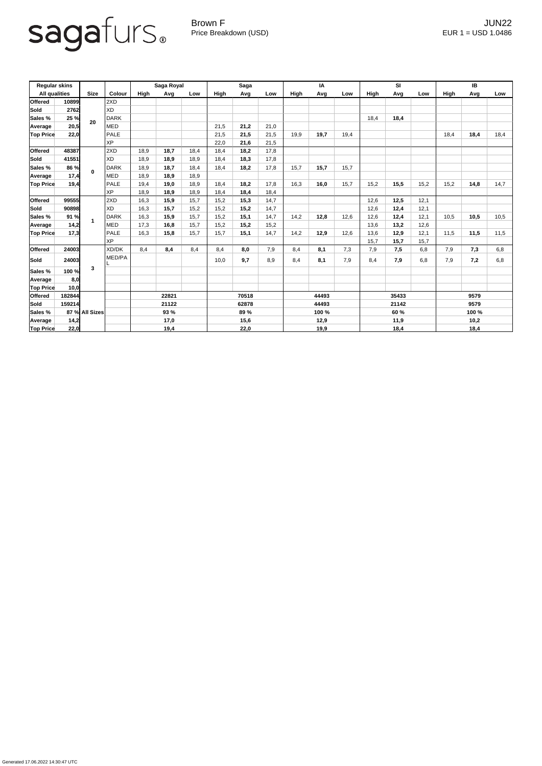## sagafurs.

Generated 17.06.2022 14:30:47 UTC

Brown F JUN22 Price Breakdown (USD) error and the USD 1.0486

| <b>Regular skins</b> |        |                |               | Saga Royal |      |      | <b>Saga</b> |      |             | IA          |      |      | SI          |      |       | IB          |      |      |
|----------------------|--------|----------------|---------------|------------|------|------|-------------|------|-------------|-------------|------|------|-------------|------|-------|-------------|------|------|
| <b>All qualities</b> |        | <b>Size</b>    | <b>Colour</b> | High       | Avg  | Low  | High        | Avg  | Low         | <b>High</b> | Avg  | Low  | <b>High</b> | Avg  | Low   | <b>High</b> | Avg  | Low  |
| <b>Offered</b>       | 10899  |                | 2XD           |            |      |      |             |      |             |             |      |      |             |      |       |             |      |      |
| Sold                 | 2762   | 20             | <b>XD</b>     |            |      |      |             |      |             |             |      |      |             |      |       |             |      |      |
| <b>Sales %</b>       | 25 %   |                | <b>DARK</b>   |            |      |      |             |      |             |             |      |      | 18,4        | 18,4 |       |             |      |      |
| Average              | 20,5   |                | <b>MED</b>    |            |      |      | 21,5        | 21,2 | 21,0        |             |      |      |             |      |       |             |      |      |
| <b>Top Price</b>     | 22,0   |                | <b>PALE</b>   |            |      |      | 21,5        | 21,5 | 21,5        | 19,9        | 19,7 | 19,4 |             |      |       | 18,4        | 18,4 | 18,4 |
|                      |        |                | <b>XP</b>     |            |      |      | 22,0        | 21,6 | 21,5        |             |      |      |             |      |       |             |      |      |
| <b>Offered</b>       | 48387  | $\mathbf{0}$   | 2XD           | 18,9       | 18,7 | 18,4 | 18,4        | 18,2 | 17,8        |             |      |      |             |      |       |             |      |      |
| Sold                 | 41551  |                | <b>XD</b>     | 18,9       | 18,9 | 18,9 | 18,4        | 18,3 | 17,8        |             |      |      |             |      |       |             |      |      |
| <b>Sales %</b>       | 86 %   |                | <b>DARK</b>   | 18,9       | 18,7 | 18,4 | 18,4        | 18,2 | 17,8        | 15,7        | 15,7 | 15,7 |             |      |       |             |      |      |
| Average              | 17,4   |                | <b>MED</b>    | 18,9       | 18,9 | 18,9 |             |      |             |             |      |      |             |      |       |             |      |      |
| <b>Top Price</b>     | 19,4   |                | <b>PALE</b>   | 19,4       | 19,0 | 18,9 | 18,4        | 18,2 | 17,8        | 16,3        | 16,0 | 15,7 | 15,2        | 15,5 | 15,2  | 15,2        | 14,8 | 14,7 |
|                      |        |                | <b>XP</b>     | 18,9       | 18,9 | 18,9 | 18,4        | 18,4 | 18,4        |             |      |      |             |      |       |             |      |      |
| Offered              | 99555  |                | 2XD           | 16,3       | 15,9 | 15,7 | 15,2        | 15,3 | 14,7        |             |      |      | 12,6        | 12,5 | 12,1  |             |      |      |
| Sold                 | 90898  |                | <b>XD</b>     | 16,3       | 15,7 | 15,2 | 15,2        | 15,2 | 14,7        |             |      |      | 12,6        | 12,4 | 12,1  |             |      |      |
| Sales %              | 91 %   |                | <b>DARK</b>   | 16,3       | 15,9 | 15,7 | 15,2        | 15,1 | 14,7        | 14,2        | 12,8 | 12,6 | 12,6        | 12,4 | 12,1  | 10,5        | 10,5 | 10,5 |
| Average              | 14,2   |                | MED           | 17,3       | 16,8 | 15,7 | 15,2        | 15,2 | 15,2        |             |      |      | 13,6        | 13,2 | 12,6  |             |      |      |
| <b>Top Price</b>     | 17,3   |                | <b>PALE</b>   | 16,3       | 15,8 | 15,7 | 15,7        | 15,1 | 14,7        | 14,2        | 12,9 | 12,6 | 13,6        | 12,9 | 12,1  | 11,5        | 11,5 | 11,5 |
|                      |        |                | <b>XP</b>     |            |      |      |             |      |             |             |      |      | 15,7        | 15,7 | 15,7  |             |      |      |
| <b>Offered</b>       | 24003  | $\mathbf{3}$   | XD/DK         | 8,4        | 8,4  | 8,4  | 8,4         | 8,0  | 7,9         | 8,4         | 8,1  | 7,3  | 7,9         | 7,5  | 6,8   | 7,9         | 7,3  | 6,8  |
| Sold                 | 24003  |                | MED/PA        |            |      |      | 10,0        | 9,7  | 8,9         | 8,4         | 8,1  | 7,9  | 8,4         | 7,9  | 6,8   | 7,9         | 7,2  | 6,8  |
| Sales %              | 100 %  |                |               |            |      |      |             |      |             |             |      |      |             |      |       |             |      |      |
| Average              | 8,0    |                |               |            |      |      |             |      |             |             |      |      |             |      |       |             |      |      |
| <b>Top Price</b>     | 10,0   |                |               |            |      |      |             |      |             |             |      |      |             |      |       |             |      |      |
| Offered              | 182844 |                |               | 22821      |      |      | 70518       |      |             | 44493       |      |      | 35433       |      |       | 9579        |      |      |
| Sold                 | 159214 |                |               | 21122      |      |      | 62878       |      |             | 44493       |      |      | 21142       |      |       | 9579        |      |      |
| Sales %              |        | 87 % All Sizes |               | 93 %       |      |      | 89 %        |      | 100 %       |             |      | 60 % |             |      | 100 % |             |      |      |
| Average              | 14,2   |                |               |            | 17,0 |      |             | 15,6 |             | 12,9        |      | 11,9 |             |      | 10,2  |             |      |      |
| <b>Top Price</b>     | 22,0   |                |               | 19,4       |      |      | 22,0        |      | <u>19,9</u> |             |      | 18,4 |             |      | 18,4  |             |      |      |